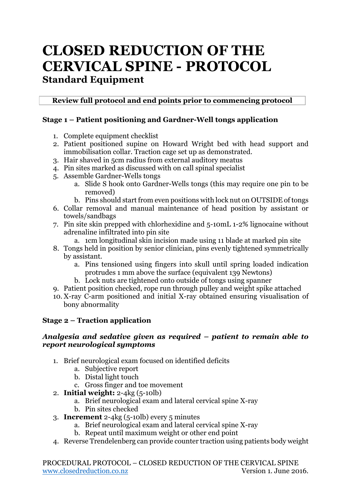# **CLOSED REDUCTION OF THE CERVICAL SPINE - PROTOCOL Standard Equipment**

**Review full protocol and end points prior to commencing protocol**

# **Stage 1 – Patient positioning and Gardner-Well tongs application**

- 1. Complete equipment checklist
- 2. Patient positioned supine on Howard Wright bed with head support and immobilisation collar. Traction cage set up as demonstrated.
- 3. Hair shaved in 5cm radius from external auditory meatus
- 4. Pin sites marked as discussed with on call spinal specialist
- 5. Assemble Gardner-Wells tongs
	- a. Slide S hook onto Gardner-Wells tongs (this may require one pin to be removed)
	- b. Pins should start from even positions with lock nut on OUTSIDE of tongs
- 6. Collar removal and manual maintenance of head position by assistant or towels/sandbags
- 7. Pin site skin prepped with chlorhexidine and 5-10mL 1-2% lignocaine without adrenaline infiltrated into pin site
	- a. 1cm longitudinal skin incision made using 11 blade at marked pin site
- 8. Tongs held in position by senior clinician, pins evenly tightened symmetrically by assistant.
	- a. Pins tensioned using fingers into skull until spring loaded indication protrudes 1 mm above the surface (equivalent 139 Newtons)
	- b. Lock nuts are tightened onto outside of tongs using spanner
- 9. Patient position checked, rope run through pulley and weight spike attached
- 10. X-ray C-arm positioned and initial X-ray obtained ensuring visualisation of bony abnormality

# **Stage 2 – Traction application**

#### *Analgesia and sedative given as required – patient to remain able to report neurological symptoms*

- 1. Brief neurological exam focused on identified deficits
	- a. Subjective report
		- b. Distal light touch
		- c. Gross finger and toe movement
- 2. **Initial weight:** 2-4kg (5-10lb)
	- a. Brief neurological exam and lateral cervical spine X-ray
	- b. Pin sites checked
- 3. **Increment** 2-4kg (5-10lb) every 5 minutes
	- a. Brief neurological exam and lateral cervical spine X-ray
	- b. Repeat until maximum weight or other end point
- 4. Reverse Trendelenberg can provide counter traction using patients body weight